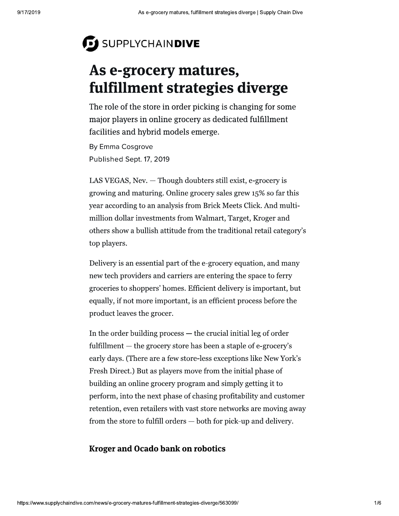# SUPPLYCHAINDIVE

# As e-grocery matures, fulfillment strategies diverge

The role of the store in order picking is changing for some major players in online grocery as dedicated fulfillment facilities and hybrid models emerge.

By Emma Cosgrove Published Sept. 17, 2019

LAS VEGAS, Nev. - Though doubters still exist, e-grocery is growing and maturing. Online grocery sales grew 15% so far this year according to an analysis from Brick Meets Click. And multimillion dollar investments from Walmart, Target, Kroger and others show a bullish attitude from the traditional retail category's top players.

Delivery is an essential part of the e-grocery equation, and many new tech providers and carriers are entering the space to ferry groceries to shoppers' homes. Efficient delivery is important, but equally, if not more important, is an efficient process before the product leaves the grocer.

In the order building process  $-$  the crucial initial leg of order fulfillment — the grocery store has been a staple of e-grocery's early days. (There are a few store-less exceptions like New York's Fresh Direct.) But as players move from the initial phase of building an online grocery program and simply getting it to perform, into the next phase of chasing profitability and customer retention, even retailers with vast store networks are moving away from the store to fulfill orders — both for pick-up and delivery.

### **Kroger and Ocado bank on robotics**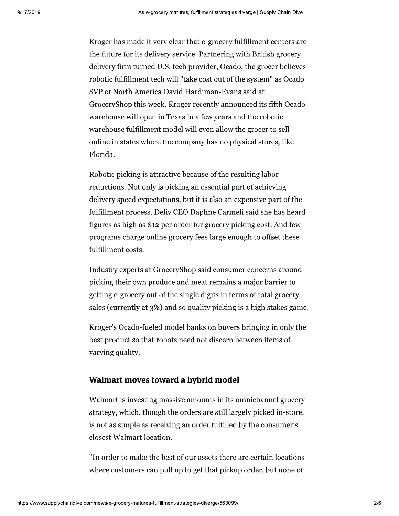Kroger has made it very clear that e-grocery fulfillment centers are the future for its delivery service. Partnering with British grocery delivery firm turned U.S. tech provider, Ocado, the grocer believes robotic fulfillment tech will "take cost out of the system" as Ocado SVP of North America David Hardiman-Evans said at GroceryShop this week. Kroger recently announced its fifth Ocado warehouse will open in Texas in a few years and the robotic warehouse fulfillment model will even allow the grocer to sell online in states where the company has no physical stores, like Florida.

Robotic picking is attractive because of the resulting labor reductions. Not only is picking an essential part of achieving delivery speed expectations, but it is also an expensive part of the fulfillment process. Deliv CEO Daphne Carmeli said she has heard figures as high as \$12 per order for grocery picking cost. And few programs charge online grocery fees large enough to offset these fulfillment costs.

Industry experts at GroceryShop said consumer concerns around picking their own produce and meat remains a major barrier to getting e-grocery out of the single digits in terms of total grocery sales (currently at 3%) and so quality picking is a high stakes game.

Kroger's Ocado-fueled model banks on buyers bringing in only the best product so that robots need not discern between items of varying quality.

### Walmart moves toward a hybrid model

Walmart is investing massive amounts in its omnichannel grocery strategy, which, though the orders are still largely picked in-store, is not as simple as receiving an order fulfilled by the consumer's closest Walmart location.

"In order to make the best of our assets there are certain locations where customers can pull up to get that pickup order, but none of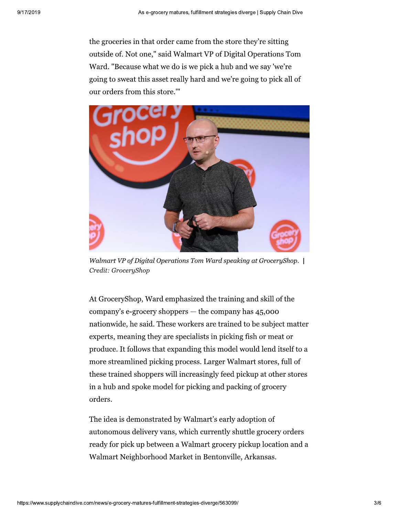the groceries in that order came from the store they're sitting outside of. Not one," said Walmart VP of Digital Operations Tom Ward. "Because what we do is we pick a hub and we say 'we're going to sweat this asset really hard and we're going to pick all of our orders from this store.""



Walmart VP of Digital Operations Tom Ward speaking at GroceryShop. | Credit: GroceryShop

At GroceryShop, Ward emphasized the training and skill of the company's e-grocery shoppers - the company has 45,000 nationwide, he said. These workers are trained to be subject matter experts, meaning they are specialists in picking fish or meat or produce. It follows that expanding this model would lend itself to a more streamlined picking process. Larger Walmart stores, full of these trained shoppers will increasingly feed pickup at other stores in a hub and spoke model for picking and packing of grocery orders.

The idea is demonstrated by Walmart's early adoption of autonomous delivery vans, which currently shuttle grocery orders ready for pick up between a Walmart grocery pickup location and a Walmart Neighborhood Market in Bentonville, Arkansas.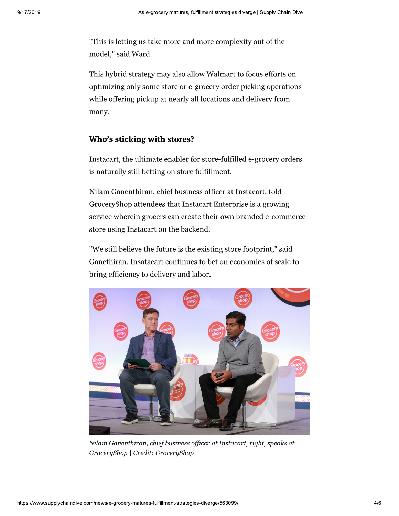"This is letting us take more and more complexity out of the model," said Ward.

This hybrid strategy may also allow Walmart to focus efforts on optimizing only some store or e-grocery order picking operations while offering pickup at nearly all locations and delivery from many.

### Who's sticking with stores?

Instacart, the ultimate enabler for store-fulfilled e-grocery orders is naturally still betting on store fulfillment.

Nilam Ganenthiran, chief business officer at Instacart, told GroceryShop attendees that Instacart Enterprise is a growing service wherein grocers can create their own branded e-commerce store using Instacart on the backend.

"We still believe the future is the existing store footprint," said Ganethiran. Insatacart continues to bet on economies of scale to bring efficiency to delivery and labor.



Nilam Ganenthiran, chief business officer at Instacart, right, speaks at GroceryShop | Credit: GroceryShop